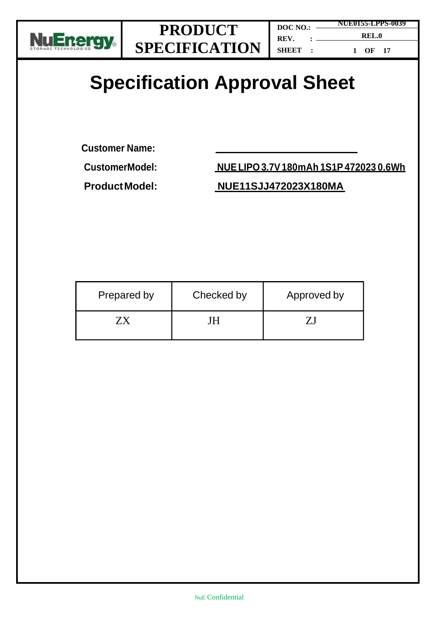

**1 OF 17**

# **Specification Approval Sheet**

**Customer Name:**

**CustomerModel: NUELIPO 3.7V180mAh 1S1P 472023 0.6Wh**

### **ProductModel: NUE11SJJ472023X180MA**

| Prepared by | Checked by | Approved by |
|-------------|------------|-------------|
|             | Н          |             |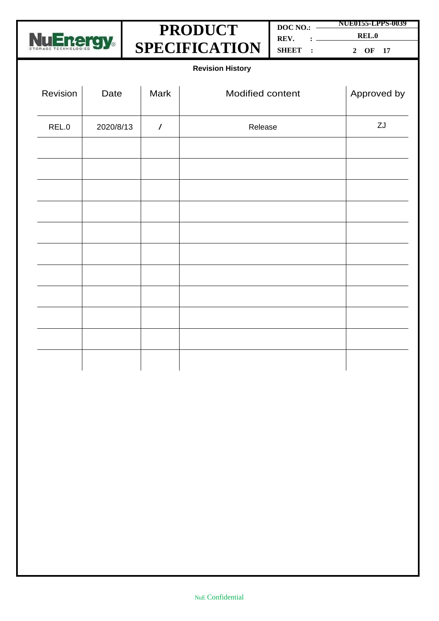

**DOC NO.: REV. : SHEET : NUE0155-LPPS-0039 REL.0 2 OF 17**

**Revision History**

| Revision | Date      | Mark           | Modified content | Approved by |
|----------|-----------|----------------|------------------|-------------|
| REL.0    | 2020/8/13 | $\overline{1}$ | Release          | ZJ          |
|          |           |                |                  |             |
|          |           |                |                  |             |
|          |           |                |                  |             |
|          |           |                |                  |             |
|          |           |                |                  |             |
|          |           |                |                  |             |
|          |           |                |                  |             |
|          |           |                |                  |             |
|          |           |                |                  |             |
|          |           |                |                  |             |
|          |           |                |                  |             |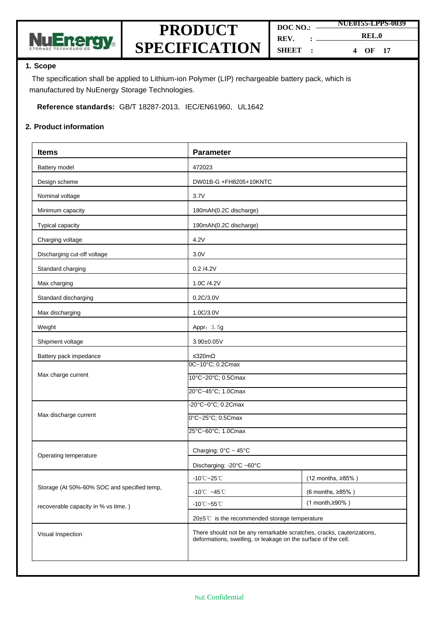

| DOC NO.: |  | NUE0155-LPPS-0039              |
|----------|--|--------------------------------|
|          |  |                                |
| REV.     |  | REL.0                          |
| SHEET :  |  | $\overline{\text{OF}}$ 17<br>4 |

#### **1. Scope**

The specification shall be applied to Lithium-ion Polymer (LIP) rechargeable battery pack, which is manufactured by NuEnergy Storage Technologies.

**Reference standards:** GB/T 18287-2013, IEC/EN61960, UL1642

#### **2. Product information**

| <b>Items</b>                                 | <b>Parameter</b>                                                                                                                        |                   |  |
|----------------------------------------------|-----------------------------------------------------------------------------------------------------------------------------------------|-------------------|--|
| Battery model                                | 472023                                                                                                                                  |                   |  |
| Design scheme                                | DW01B-G +FH8205+10KNTC                                                                                                                  |                   |  |
| Nominal voltage                              | 3.7V                                                                                                                                    |                   |  |
| Minimum capacity                             | 180mAh(0.2C discharge)                                                                                                                  |                   |  |
| Typical capacity                             | 190mAh(0.2C discharge)                                                                                                                  |                   |  |
| Charging voltage                             | 4.2V                                                                                                                                    |                   |  |
| Discharging cut-off voltage                  | 3.0V                                                                                                                                    |                   |  |
| Standard charging                            | 0.2 / 4.2V                                                                                                                              |                   |  |
| Max charging                                 | 1.0C /4.2V                                                                                                                              |                   |  |
| Standard discharging                         | 0.2C/3.0V                                                                                                                               |                   |  |
| Max discharging                              | 1.0C/3.0V                                                                                                                               |                   |  |
| Weight                                       | Appr: 3.5g                                                                                                                              |                   |  |
| Shipment voltage                             | 3.90±0.05V                                                                                                                              |                   |  |
| Battery pack impedance                       | ≤320mΩ                                                                                                                                  |                   |  |
| Max charge current                           | 0C~10°C; 0.2Cmax<br>10°C~20°C; 0.5Cmax                                                                                                  |                   |  |
|                                              | 20°C~45°C; 1.0Cmax                                                                                                                      |                   |  |
|                                              | -20°C~0°C; 0.2Cmax                                                                                                                      |                   |  |
| Max discharge current                        | 0°C~25°C; 0.5Cmax                                                                                                                       |                   |  |
|                                              | 25°C~60°C; 1.0Cmax                                                                                                                      |                   |  |
| Operating temperature                        | Charging: 0°C ~ 45°C                                                                                                                    |                   |  |
|                                              | Discharging: -20°C ~60°C                                                                                                                |                   |  |
|                                              | $-10^{\circ}$ C $-25^{\circ}$ C                                                                                                         | (12 months, ≥85%) |  |
| Storage (At 50%-60% SOC and specified temp,  | -10 $\degree$ C ~45 $\degree$ C                                                                                                         | (6 months, ≥85%)  |  |
| recoverable capacity in % vs time.)          | $-10^{\circ}$ C $-55^{\circ}$ C                                                                                                         | $(1$ month, ≥90%) |  |
| 20±5℃ is the recommended storage temperature |                                                                                                                                         |                   |  |
| Visual Inspection                            | There should not be any remarkable scratches, cracks, cauterizations,<br>deformations, swelling, or leakage on the surface of the cell. |                   |  |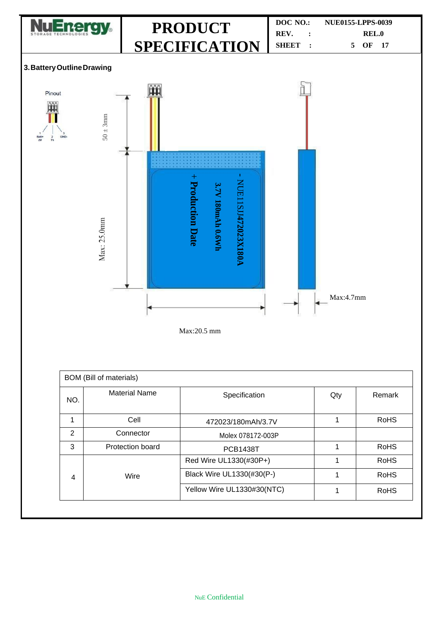

| BOM (Bill of materials) |                      |                            |     |             |  |
|-------------------------|----------------------|----------------------------|-----|-------------|--|
| NO.                     | <b>Material Name</b> | Specification              | Qty | Remark      |  |
| 1                       | Cell                 | 472023/180mAh/3.7V         |     | <b>RoHS</b> |  |
| 2                       | Connector            | Molex 078172-003P          |     |             |  |
| 3                       | Protection board     | <b>PCB1438T</b>            |     | <b>RoHS</b> |  |
|                         |                      | Red Wire UL1330(#30P+)     |     | <b>RoHS</b> |  |
| $\overline{4}$          | Wire                 | Black Wire UL1330(#30(P-)  |     | <b>RoHS</b> |  |
|                         |                      | Yellow Wire UL1330#30(NTC) |     | <b>RoHS</b> |  |
|                         |                      |                            |     |             |  |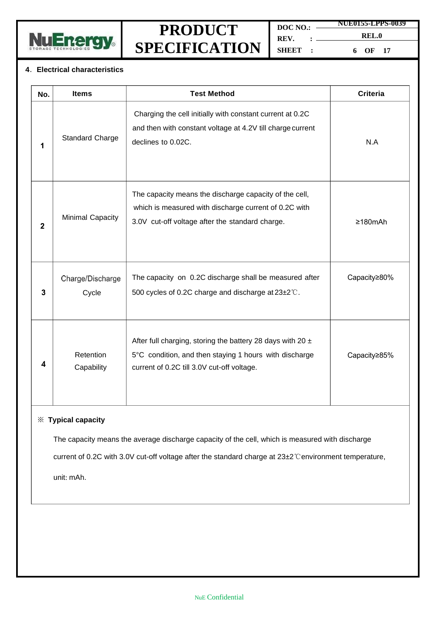

**DOC NO.: REV. : SHEET : NUE0155-LPPS-0039 REL.0 6 OF 17**

#### **4**.**Electrical characteristics**

| No.          | <b>Items</b>              | <b>Test Method</b>                                                                                                                                                     | <b>Criteria</b> |
|--------------|---------------------------|------------------------------------------------------------------------------------------------------------------------------------------------------------------------|-----------------|
| 1            | <b>Standard Charge</b>    | Charging the cell initially with constant current at 0.2C<br>and then with constant voltage at 4.2V till charge current<br>declines to 0.02C.                          | N.A             |
| $\mathbf{2}$ | <b>Minimal Capacity</b>   | The capacity means the discharge capacity of the cell,<br>which is measured with discharge current of 0.2C with<br>3.0V cut-off voltage after the standard charge.     | $\geq 180$ mAh  |
| 3            | Charge/Discharge<br>Cycle | The capacity on 0.2C discharge shall be measured after<br>500 cycles of 0.2C charge and discharge at 23±2°C.                                                           | Capacity≥80%    |
| 4            | Retention<br>Capability   | After full charging, storing the battery 28 days with 20 $\pm$<br>5°C condition, and then staying 1 hours with discharge<br>current of 0.2C till 3.0V cut-off voltage. | Capacity≥85%    |

#### ※ **Typical capacity**

The capacity means the average discharge capacity of the cell, which is measured with discharge

current of 0.2C with 3.0V cut-off voltage after the standard charge at 23±2℃environment temperature,

unit: mAh.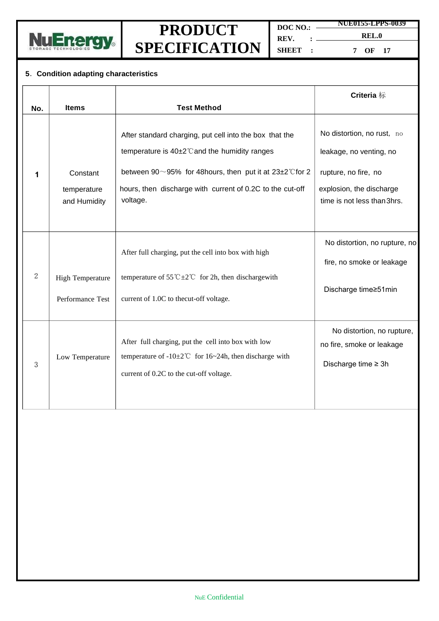

**DOC NO.: REV. : NUE0155-LPPS-0039 REL.0**

**SHEET :**

**7 OF 17**

### **5**.**Condition adapting characteristics**

|                |                                             |                                                                                                                                                                                                                                                                  | <b>Criteria</b> 标                                                                                                                        |
|----------------|---------------------------------------------|------------------------------------------------------------------------------------------------------------------------------------------------------------------------------------------------------------------------------------------------------------------|------------------------------------------------------------------------------------------------------------------------------------------|
| No.            | <b>Items</b>                                | <b>Test Method</b>                                                                                                                                                                                                                                               |                                                                                                                                          |
| 1              | Constant<br>temperature<br>and Humidity     | After standard charging, put cell into the box that the<br>temperature is 40±2°C and the humidity ranges<br>between $90^\circ$ -95% for 48 hours, then put it at $23\pm2^\circ$ C for 2<br>hours, then discharge with current of 0.2C to the cut-off<br>voltage. | No distortion, no rust, no<br>leakage, no venting, no<br>rupture, no fire, no<br>explosion, the discharge<br>time is not less than 3hrs. |
| $\overline{2}$ | <b>High Temperature</b><br>Performance Test | After full charging, put the cell into box with high<br>temperature of 55 °C $\pm$ 2 °C for 2h, then discharge with<br>current of 1.0C to thecut-off voltage.                                                                                                    | No distortion, no rupture, no<br>fire, no smoke or leakage<br>Discharge time≥51min                                                       |
| 3              | Low Temperature                             | After full charging, put the cell into box with low<br>temperature of $-10\pm2\degree$ for 16~24h, then discharge with<br>current of 0.2C to the cut-off voltage.                                                                                                | No distortion, no rupture,<br>no fire, smoke or leakage<br>Discharge time $\geq 3h$                                                      |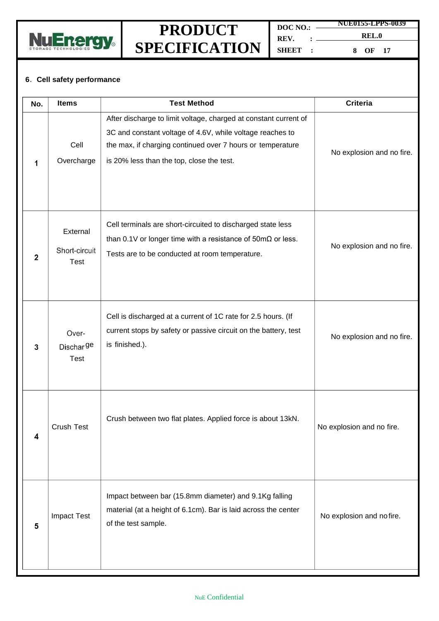

**DOC NO.: REV. : SHEET : NUE0155-LPPS-0039 8 OF 17**

**REL.0**

### **6**.**Cell safety performance**

| No.          | <b>Items</b>                             | <b>Test Method</b>                                                                                                                                                                                                                       | <b>Criteria</b>           |
|--------------|------------------------------------------|------------------------------------------------------------------------------------------------------------------------------------------------------------------------------------------------------------------------------------------|---------------------------|
| 1            | Cell<br>Overcharge                       | After discharge to limit voltage, charged at constant current of<br>3C and constant voltage of 4.6V, while voltage reaches to<br>the max, if charging continued over 7 hours or temperature<br>is 20% less than the top, close the test. | No explosion and no fire. |
| $\mathbf{2}$ | External<br>Short-circuit<br><b>Test</b> | Cell terminals are short-circuited to discharged state less<br>than 0.1V or longer time with a resistance of $50 \text{m}\Omega$ or less.<br>Tests are to be conducted at room temperature.                                              | No explosion and no fire. |
| 3            | Over-<br>Dischar <sup>ge</sup><br>Test   | Cell is discharged at a current of 1C rate for 2.5 hours. (If<br>current stops by safety or passive circuit on the battery, test<br>is finished.).                                                                                       | No explosion and no fire. |
| 4            | Crush Test                               | Crush between two flat plates. Applied force is about 13kN.                                                                                                                                                                              | No explosion and no fire. |
| 5            | <b>Impact Test</b>                       | Impact between bar (15.8mm diameter) and 9.1Kg falling<br>material (at a height of 6.1cm). Bar is laid across the center<br>of the test sample.                                                                                          | No explosion and no fire. |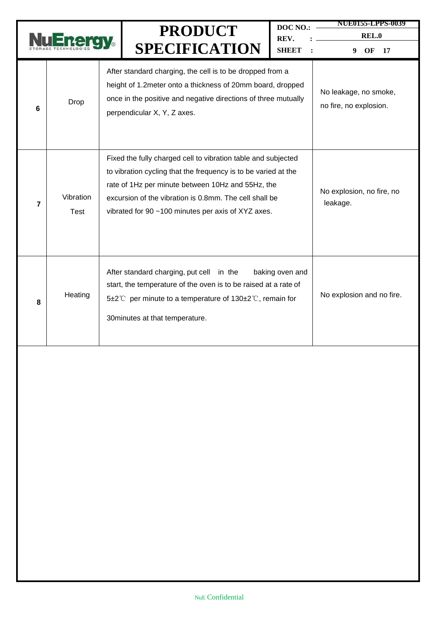|   |                   | <b>PRODUCT</b><br><b>SPECIFICATION</b>                                                                                                                                                                                                                                                               | DOC NO.:<br>REV.<br><b>SHEET</b>                | <b>NUE0155-LPPS-0039</b><br><b>REL.0</b><br>OF<br>17<br>9 |
|---|-------------------|------------------------------------------------------------------------------------------------------------------------------------------------------------------------------------------------------------------------------------------------------------------------------------------------------|-------------------------------------------------|-----------------------------------------------------------|
| 6 | Drop              | After standard charging, the cell is to be dropped from a<br>height of 1.2meter onto a thickness of 20mm board, dropped<br>once in the positive and negative directions of three mutually<br>perpendicular X, Y, Z axes.                                                                             | No leakage, no smoke,<br>no fire, no explosion. |                                                           |
| 7 | Vibration<br>Test | Fixed the fully charged cell to vibration table and subjected<br>to vibration cycling that the frequency is to be varied at the<br>rate of 1Hz per minute between 10Hz and 55Hz, the<br>excursion of the vibration is 0.8mm. The cell shall be<br>vibrated for 90 ~100 minutes per axis of XYZ axes. | No explosion, no fire, no<br>leakage.           |                                                           |
| 8 | Heating           | After standard charging, put cell in the<br>start, the temperature of the oven is to be raised at a rate of<br>5±2℃ per minute to a temperature of 130±2℃, remain for<br>30 minutes at that temperature.                                                                                             | baking oven and                                 | No explosion and no fire.                                 |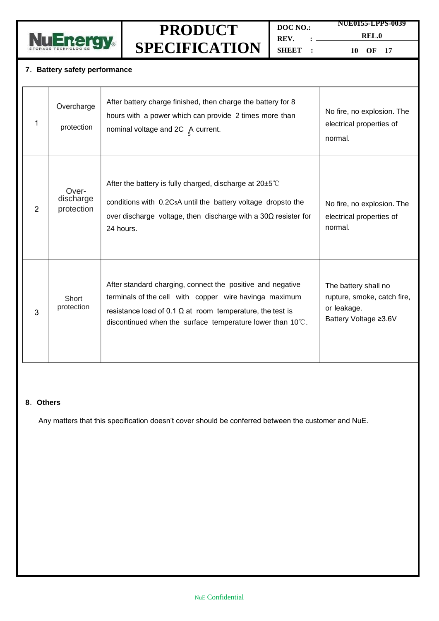

**DOC NO.: REV. : SHEET :**

**NUE0155-LPPS-0039 REL.0**

**10 OF 17**

#### **7**.**Battery safety performance**

| 1             | Overcharge<br>protection         | After battery charge finished, then charge the battery for 8<br>hours with a power which can provide 2 times more than<br>nominal voltage and $2C \underset{\sim}{\wedge}$ current.                                                                             | No fire, no explosion. The<br>electrical properties of<br>normal.                           |
|---------------|----------------------------------|-----------------------------------------------------------------------------------------------------------------------------------------------------------------------------------------------------------------------------------------------------------------|---------------------------------------------------------------------------------------------|
| $\mathcal{P}$ | Over-<br>discharge<br>protection | After the battery is fully charged, discharge at $20\pm5^{\circ}$<br>conditions with 0.2C <sub>5</sub> A until the battery voltage dropsto the<br>over discharge voltage, then discharge with a $30\Omega$ resister for<br>24 hours.                            | No fire, no explosion. The<br>electrical properties of<br>normal.                           |
| 3             | Short<br>protection              | After standard charging, connect the positive and negative<br>terminals of the cell with copper wire havinga maximum<br>resistance load of 0.1 $\Omega$ at room temperature, the test is<br>discontinued when the surface temperature lower than $10^{\circ}$ . | The battery shall no<br>rupture, smoke, catch fire,<br>or leakage.<br>Battery Voltage ≥3.6V |

#### **8**.**Others**

Any matters that this specification doesn't cover should be conferred between the customer and NuE.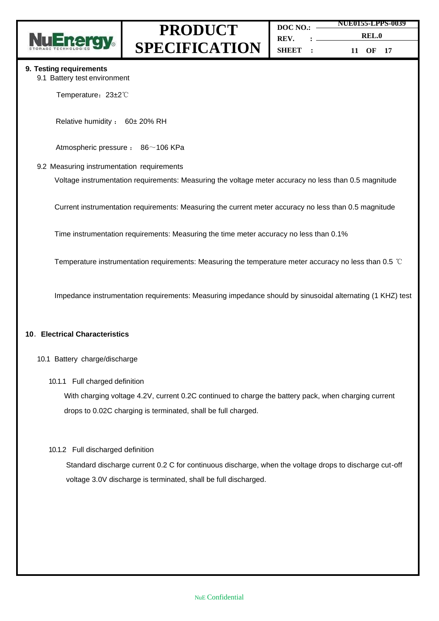

| DOC NO.: | <b>NUE0155-LPPS-0</b> |          |  |
|----------|-----------------------|----------|--|
|          |                       |          |  |
| $REV.$ : |                       | REL.0    |  |
| SHBET B  |                       | 11 OF 17 |  |

1039

#### **9. Testing requirements**

9.1 Battery test environment

Temperature: 23±2℃

Relative humidity : 60± 20% RH

Atmospheric pressure : 86~106 KPa

#### 9.2 Measuring instrumentation requirements

Voltage instrumentation requirements: Measuring the voltage meter accuracy no less than 0.5 magnitude

Current instrumentation requirements: Measuring the current meter accuracy no less than 0.5 magnitude

Time instrumentation requirements: Measuring the time meter accuracy no less than 0.1%

Temperature instrumentation requirements: Measuring the temperature meter accuracy no less than 0.5 ℃

Impedance instrumentation requirements: Measuring impedance should by sinusoidal alternating (1 KHZ) test

#### **10**.**Electrical Characteristics**

- 10.1 Battery charge/discharge
	- 10.1.1 Full charged definition

With charging voltage 4.2V, current 0.2C continued to charge the battery pack, when charging current drops to 0.02C charging is terminated, shall be full charged.

#### 10.1.2 Full discharged definition

Standard discharge current 0.2 C for continuous discharge, when the voltage drops to discharge cut-off voltage 3.0V discharge is terminated, shall be full discharged.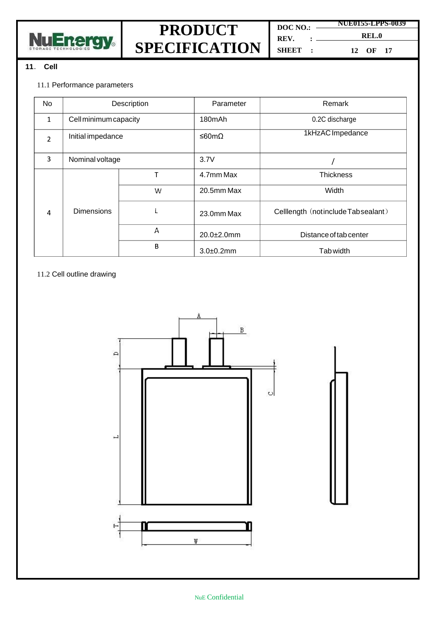



**DOC NO.: REV. : SHEET : NUE0155-LPPS-0039**

**REL.0 12 OF 17**

#### **11**. **Cell**

#### 11.1 Performance parameters

| No                       | Description           |   | Parameter      | Remark                             |
|--------------------------|-----------------------|---|----------------|------------------------------------|
| $\mathbf{1}$             | Cell minimum capacity |   | 180mAh         | 0.2C discharge                     |
| $\overline{\phantom{a}}$ | Initial impedance     |   | ≤60mΩ          | 1kHzAC Impedance                   |
| 3                        | Nominal voltage       |   | 3.7V           |                                    |
|                          |                       | Т | 4.7mm Max      | <b>Thickness</b>                   |
|                          |                       | W | 20.5mm Max     | Width                              |
| 4                        | <b>Dimensions</b>     | L | 23.0mm Max     | Celllength (notinclude Tabsealant) |
|                          |                       | А | 20.0±2.0mm     | Distance of tab center             |
|                          |                       | B | $3.0 + 0.2$ mm | Tab width                          |

#### 11.2 Cell outline drawing

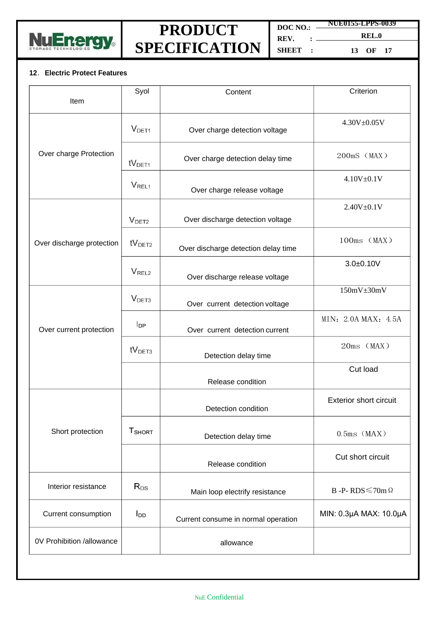

**DOC NO.: REV. : SHEET : NUE0155-LPPS-0039 REL.0**

**13 OF 17**

#### **12**.**Electric Protect Features**

| Item                      | Syol                          | Content                             | Criterion                     |
|---------------------------|-------------------------------|-------------------------------------|-------------------------------|
|                           | V <sub>DET1</sub>             | Over charge detection voltage       | $4.30V + 0.05V$               |
| Over charge Protection    | $\mathsf{tV}_{\mathsf{DET1}}$ | Over charge detection delay time    | $200mS$ (MAX)                 |
|                           | V <sub>REL1</sub>             | Over charge release voltage         | $4.10V + 0.1V$                |
|                           | V <sub>DET2</sub>             | Over discharge detection voltage    | $2.40V + 0.1V$                |
| Over discharge protection | $\mathsf{tV}_{\mathsf{DET2}}$ | Over discharge detection delay time | $100ms$ (MAX)                 |
|                           | V <sub>REL2</sub>             | Over discharge release voltage      | $3.0 + 0.10V$                 |
|                           | V <sub>DET3</sub>             | Over current detection voltage      | $150mV \pm 30mV$              |
| Over current protection   | $I_{\text{DP}}$               | Over current detection current      | MIN: 2.0A MAX: 4.5A           |
|                           | tV <sub>DET3</sub>            | Detection delay time                | 20ms (MAX)                    |
|                           |                               | Release condition                   | Cut load                      |
|                           |                               | Detection condition                 | <b>Exterior short circuit</b> |
| Short protection          | T <sub>SHORT</sub>            | Detection delay time                | $0.5$ ms $(MAX)$              |
|                           |                               | Release condition                   | Cut short circuit             |
| Interior resistance       | $\mathsf{R}_{\mathsf{DS}}$    | Main loop electrify resistance      | B -P-RDS $\leq$ 70m $\Omega$  |
| Current consumption       | <b>I</b> <sub>DD</sub>        | Current consume in normal operation | MIN: 0.3µA MAX: 10.0µA        |
| 0V Prohibition /allowance |                               | allowance                           |                               |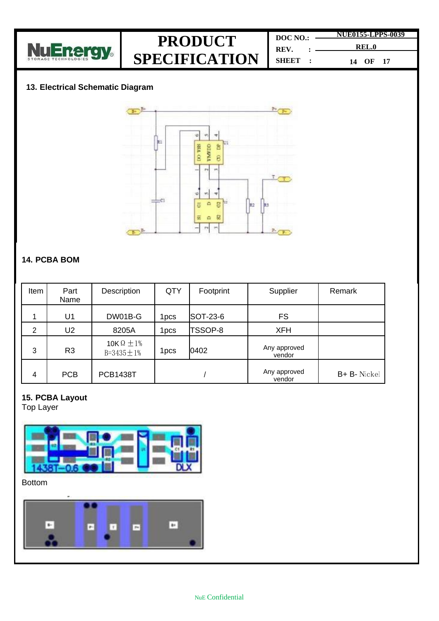

**DOC NO.: REV. : SHEET : NUE0155-LPPS-0039 REL.0 14 OF 17**

### **13. Electrical Schematic Diagram**



### **14. PCBA BOM**

| Item           | Part<br>Name   | Description                                | <b>QTY</b>       | Footprint | Supplier               | Remark       |
|----------------|----------------|--------------------------------------------|------------------|-----------|------------------------|--------------|
|                | U1             | DW01B-G                                    | 1 <sub>pcs</sub> | SOT-23-6  | <b>FS</b>              |              |
| $\overline{2}$ | U2             | 8205A                                      | 1pcs             | TSSOP-8   | <b>XFH</b>             |              |
| 3              | R <sub>3</sub> | 10K $\Omega \pm 1\%$<br>$B = 3435 \pm 1\%$ | 1 <sub>pcs</sub> | 0402      | Any approved<br>vendor |              |
| 4              | <b>PCB</b>     | <b>PCB1438T</b>                            |                  |           | Any approved<br>vendor | B+ B- Nickel |

### **15. PCBA Layout**

Top Layer



**Bottom** 

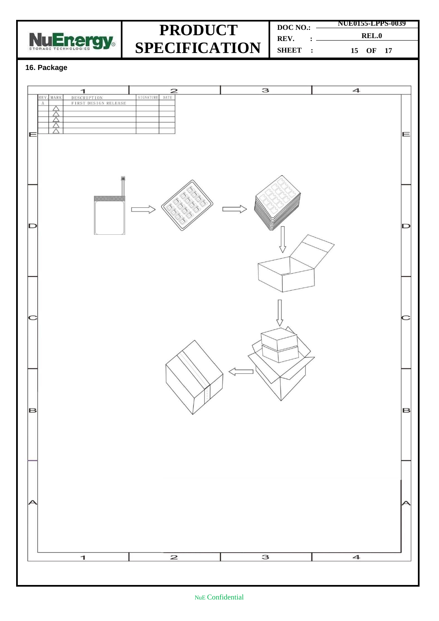

**DOC NO.: REV. : SHEET : NUE0155-LPPS-0039 REL.0 15 OF 17**

#### **16. Package**

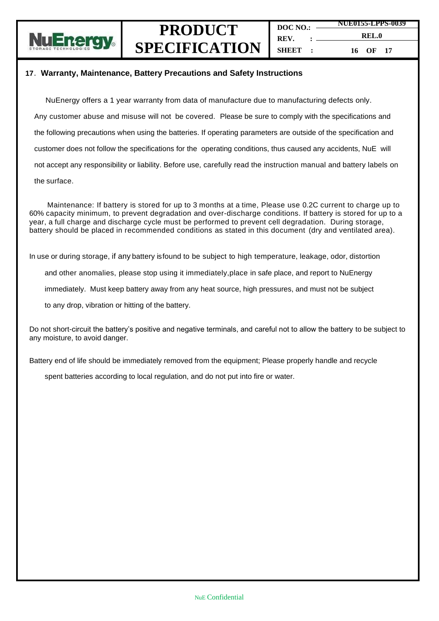

#### **17**.**Warranty, Maintenance, Battery Precautions and Safety Instructions**

NuEnergy offers a 1 year warranty from data of manufacture due to manufacturing defects only. Any customer abuse and misuse will not be covered. Please be sure to comply with the specifications and the following precautions when using the batteries. If operating parameters are outside of the specification and customer does not follow the specifications for the operating conditions, thus caused any accidents, NuE will not accept any responsibility or liability. Before use, carefully read the instruction manual and battery labels on the surface.

Maintenance: If battery is stored for up to 3 months at a time, Please use 0.2C current to charge up to 60% capacity minimum, to prevent degradation and over-discharge conditions. If battery is stored for up to a year, a full charge and discharge cycle must be performed to prevent cell degradation. During storage, battery should be placed in recommended conditions as stated in this document (dry and ventilated area).

In use or during storage, if any battery isfound to be subject to high temperature, leakage, odor, distortion

and other anomalies, please stop using it immediately,place in safe place, and report to NuEnergy

immediately. Must keep battery away from any heat source, high pressures, and must not be subject

to any drop, vibration or hitting of the battery.

Do not short-circuit the battery's positive and negative terminals, and careful not to allow the battery to be subject to any moisture, to avoid danger.

Battery end of life should be immediately removed from the equipment; Please properly handle and recycle

spent batteries according to local regulation, and do not put into fire or water.